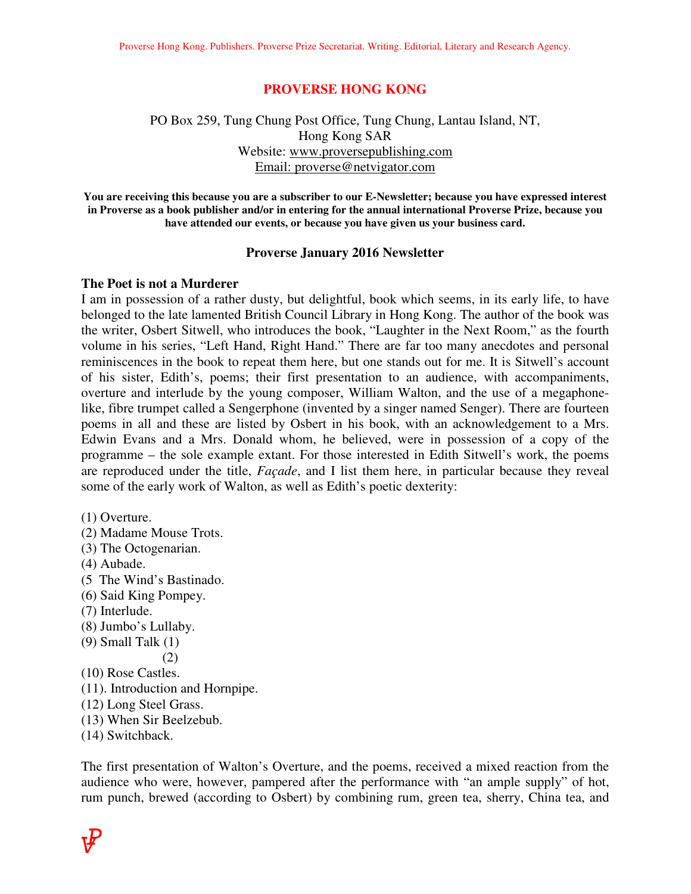### **PROVERSE HONG KONG**

## PO Box 259, Tung Chung Post Office, Tung Chung, Lantau Island, NT, Hong Kong SAR Website: www.proversepublishing.com Email: proverse@netvigator.com

**You are receiving this because you are a subscriber to our E-Newsletter; because you have expressed interest in Proverse as a book publisher and/or in entering for the annual international Proverse Prize, because you have attended our events, or because you have given us your business card.** 

### **Proverse January 2016 Newsletter**

### **The Poet is not a Murderer**

I am in possession of a rather dusty, but delightful, book which seems, in its early life, to have belonged to the late lamented British Council Library in Hong Kong. The author of the book was the writer, Osbert Sitwell, who introduces the book, "Laughter in the Next Room," as the fourth volume in his series, "Left Hand, Right Hand." There are far too many anecdotes and personal reminiscences in the book to repeat them here, but one stands out for me. It is Sitwell's account of his sister, Edith's, poems; their first presentation to an audience, with accompaniments, overture and interlude by the young composer, William Walton, and the use of a megaphonelike, fibre trumpet called a Sengerphone (invented by a singer named Senger). There are fourteen poems in all and these are listed by Osbert in his book, with an acknowledgement to a Mrs. Edwin Evans and a Mrs. Donald whom, he believed, were in possession of a copy of the programme – the sole example extant. For those interested in Edith Sitwell's work, the poems are reproduced under the title, *Façade*, and I list them here, in particular because they reveal some of the early work of Walton, as well as Edith's poetic dexterity:

- (1) Overture.
- (2) Madame Mouse Trots.
- (3) The Octogenarian.
- (4) Aubade.
- (5 The Wind's Bastinado.
- (6) Said King Pompey.
- (7) Interlude.
- (8) Jumbo's Lullaby.
- (9) Small Talk (1)
	- (2)
- (10) Rose Castles.
- (11). Introduction and Hornpipe.
- (12) Long Steel Grass.
- (13) When Sir Beelzebub.
- (14) Switchback.

The first presentation of Walton's Overture, and the poems, received a mixed reaction from the audience who were, however, pampered after the performance with "an ample supply" of hot, rum punch, brewed (according to Osbert) by combining rum, green tea, sherry, China tea, and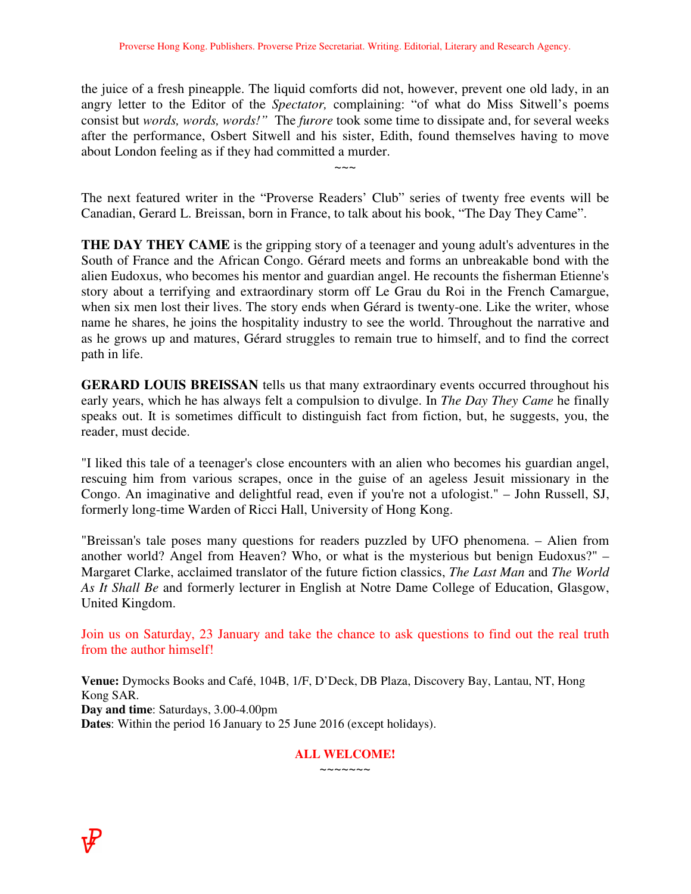the juice of a fresh pineapple. The liquid comforts did not, however, prevent one old lady, in an angry letter to the Editor of the *Spectator,* complaining: "of what do Miss Sitwell's poems consist but *words, words, words!"* The *furore* took some time to dissipate and, for several weeks after the performance, Osbert Sitwell and his sister, Edith, found themselves having to move about London feeling as if they had committed a murder.

The next featured writer in the "Proverse Readers' Club" series of twenty free events will be Canadian, Gerard L. Breissan, born in France, to talk about his book, "The Day They Came".

 $\sim\sim\sim$ 

**THE DAY THEY CAME** is the gripping story of a teenager and young adult's adventures in the South of France and the African Congo. Gérard meets and forms an unbreakable bond with the alien Eudoxus, who becomes his mentor and guardian angel. He recounts the fisherman Etienne's story about a terrifying and extraordinary storm off Le Grau du Roi in the French Camargue, when six men lost their lives. The story ends when Gérard is twenty-one. Like the writer, whose name he shares, he joins the hospitality industry to see the world. Throughout the narrative and as he grows up and matures, Gérard struggles to remain true to himself, and to find the correct path in life.

**GERARD LOUIS BREISSAN** tells us that many extraordinary events occurred throughout his early years, which he has always felt a compulsion to divulge. In *The Day They Came* he finally speaks out. It is sometimes difficult to distinguish fact from fiction, but, he suggests, you, the reader, must decide.

"I liked this tale of a teenager's close encounters with an alien who becomes his guardian angel, rescuing him from various scrapes, once in the guise of an ageless Jesuit missionary in the Congo. An imaginative and delightful read, even if you're not a ufologist." – John Russell, SJ, formerly long-time Warden of Ricci Hall, University of Hong Kong.

"Breissan's tale poses many questions for readers puzzled by UFO phenomena. – Alien from another world? Angel from Heaven? Who, or what is the mysterious but benign Eudoxus?" – Margaret Clarke, acclaimed translator of the future fiction classics, *The Last Man* and *The World As It Shall Be* and formerly lecturer in English at Notre Dame College of Education, Glasgow, United Kingdom.

Join us on Saturday, 23 January and take the chance to ask questions to find out the real truth from the author himself!

**Venue:** Dymocks Books and Café, 104B, 1/F, D'Deck, DB Plaza, Discovery Bay, Lantau, NT, Hong Kong SAR. **Day and time**: Saturdays, 3.00-4.00pm **Dates**: Within the period 16 January to 25 June 2016 (except holidays).

### **ALL WELCOME!**   $\sim\sim\sim\sim\sim\sim$